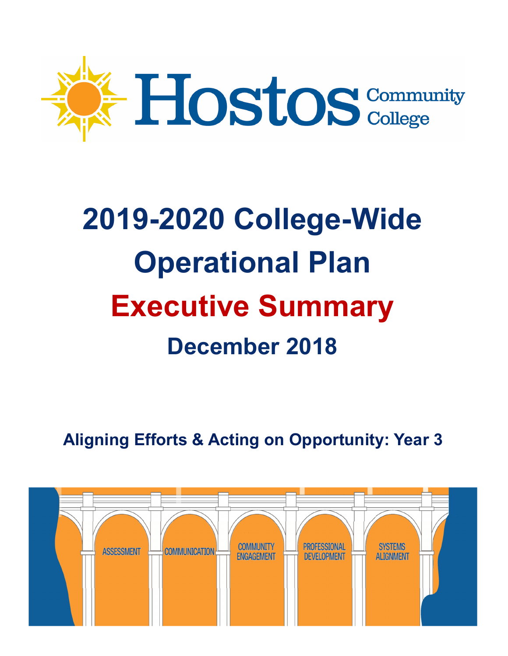

# **2019-2020 College-Wide Operational Plan Executive Summary December 2018**

**Aligning Efforts & Acting on Opportunity: Year 3** 

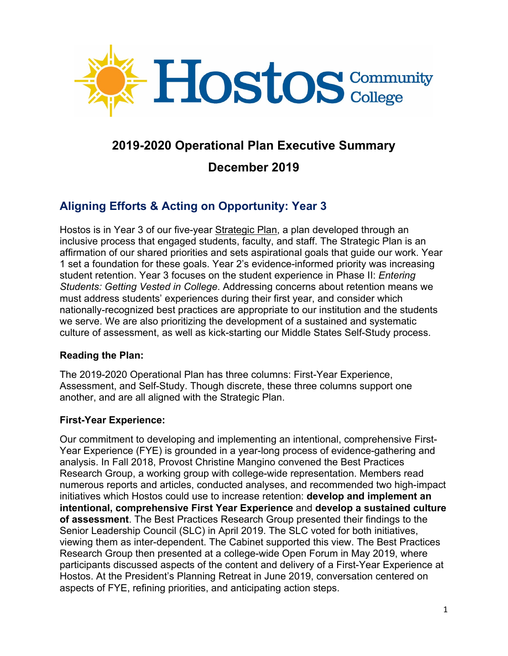

## **2019-2020 Operational Plan Executive Summary**

## **December 2019**

# **Aligning Efforts & Acting on Opportunity: Year 3**

Hostos is in Year 3 of our five-year Strategic Plan, a plan developed through an inclusive process that engaged students, faculty, and staff. The Strategic Plan is an affirmation of our shared priorities and sets aspirational goals that guide our work. Year 1 set a foundation for these goals. Year 2's evidence-informed priority was increasing student retention. Year 3 focuses on the student experience in Phase II: *Entering Students: Getting Vested in College*. Addressing concerns about retention means we must address students' experiences during their first year, and consider which nationally-recognized best practices are appropriate to our institution and the students we serve. We are also prioritizing the development of a sustained and systematic culture of assessment, as well as kick-starting our Middle States Self-Study process.

## **Reading the Plan:**

The 2019-2020 Operational Plan has three columns: First-Year Experience, Assessment, and Self-Study. Though discrete, these three columns support one another, and are all aligned with the Strategic Plan.

## **First-Year Experience:**

Our commitment to developing and implementing an intentional, comprehensive First-Year Experience (FYE) is grounded in a year-long process of evidence-gathering and analysis. In Fall 2018, Provost Christine Mangino convened the Best Practices Research Group, a working group with college-wide representation. Members read numerous reports and articles, conducted analyses, and recommended two high-impact initiatives which Hostos could use to increase retention: **develop and implement an intentional, comprehensive First Year Experience** and **develop a sustained culture of assessment**. The Best Practices Research Group presented their findings to the Senior Leadership Council (SLC) in April 2019. The SLC voted for both initiatives, viewing them as inter-dependent. The Cabinet supported this view. The Best Practices Research Group then presented at a college-wide Open Forum in May 2019, where participants discussed aspects of the content and delivery of a First-Year Experience at Hostos. At the President's Planning Retreat in June 2019, conversation centered on aspects of FYE, refining priorities, and anticipating action steps.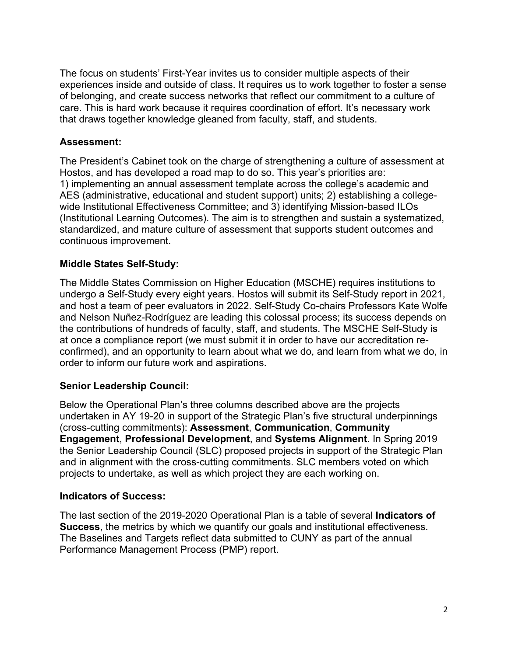The focus on students' First-Year invites us to consider multiple aspects of their experiences inside and outside of class. It requires us to work together to foster a sense of belonging, and create success networks that reflect our commitment to a culture of care. This is hard work because it requires coordination of effort. It's necessary work that draws together knowledge gleaned from faculty, staff, and students.

#### **Assessment:**

The President's Cabinet took on the charge of strengthening a culture of assessment at Hostos, and has developed a road map to do so. This year's priorities are: 1) implementing an annual assessment template across the college's academic and AES (administrative, educational and student support) units; 2) establishing a collegewide Institutional Effectiveness Committee; and 3) identifying Mission-based ILOs (Institutional Learning Outcomes). The aim is to strengthen and sustain a systematized, standardized, and mature culture of assessment that supports student outcomes and continuous improvement.

#### **Middle States Self-Study:**

The Middle States Commission on Higher Education (MSCHE) requires institutions to undergo a Self-Study every eight years. Hostos will submit its Self-Study report in 2021, and host a team of peer evaluators in 2022. Self-Study Co-chairs Professors Kate Wolfe and Nelson Nuñez-Rodríguez are leading this colossal process; its success depends on the contributions of hundreds of faculty, staff, and students. The MSCHE Self-Study is at once a compliance report (we must submit it in order to have our accreditation reconfirmed), and an opportunity to learn about what we do, and learn from what we do, in order to inform our future work and aspirations.

#### **Senior Leadership Council:**

Below the Operational Plan's three columns described above are the projects undertaken in AY 19-20 in support of the Strategic Plan's five structural underpinnings (cross-cutting commitments): **Assessment**, **Communication**, **Community Engagement**, **Professional Development**, and **Systems Alignment**. In Spring 2019 the Senior Leadership Council (SLC) proposed projects in support of the Strategic Plan and in alignment with the cross-cutting commitments. SLC members voted on which projects to undertake, as well as which project they are each working on.

#### **Indicators of Success:**

The last section of the 2019-2020 Operational Plan is a table of several **Indicators of Success**, the metrics by which we quantify our goals and institutional effectiveness. The Baselines and Targets reflect data submitted to CUNY as part of the annual Performance Management Process (PMP) report.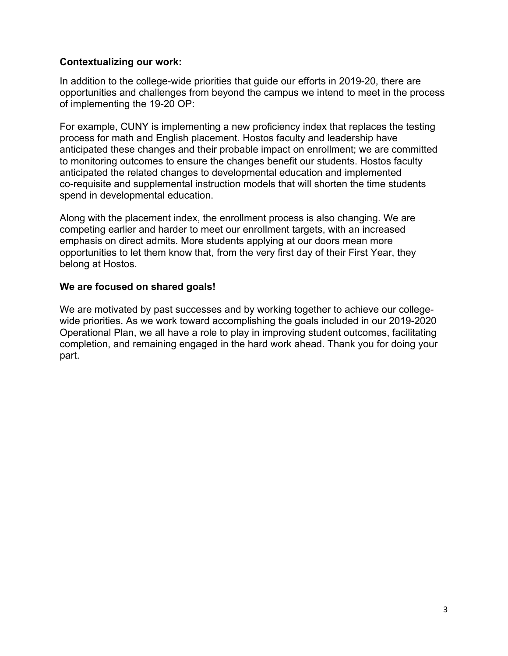#### **Contextualizing our work:**

In addition to the college-wide priorities that guide our efforts in 2019-20, there are opportunities and challenges from beyond the campus we intend to meet in the process of implementing the 19-20 OP:

For example, CUNY is implementing a new proficiency index that replaces the testing process for math and English placement. Hostos faculty and leadership have anticipated these changes and their probable impact on enrollment; we are committed to monitoring outcomes to ensure the changes benefit our students. Hostos faculty anticipated the related changes to developmental education and implemented co-requisite and supplemental instruction models that will shorten the time students spend in developmental education.

Along with the placement index, the enrollment process is also changing. We are competing earlier and harder to meet our enrollment targets, with an increased emphasis on direct admits. More students applying at our doors mean more opportunities to let them know that, from the very first day of their First Year, they belong at Hostos.

#### **We are focused on shared goals!**

We are motivated by past successes and by working together to achieve our collegewide priorities. As we work toward accomplishing the goals included in our 2019-2020 Operational Plan, we all have a role to play in improving student outcomes, facilitating completion, and remaining engaged in the hard work ahead. Thank you for doing your part.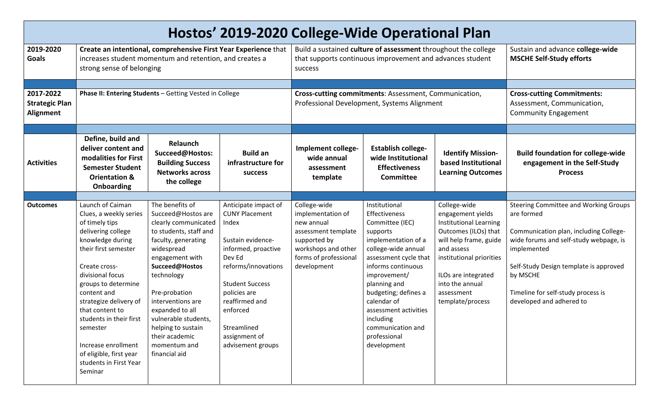| Hostos' 2019-2020 College-Wide Operational Plan |                                                                                                                                                                                                                                                                                                                                                                                      |                                                                                                                                                                                                                                                                                                                                           |                                                                                                                                                                                                                                                                  |                                                                                                                                                       |                                                                                                                                                                                                                                                                                                                             |                                                                                                                                                                                                                                            |                                                                                                                                                                                                                                                                                |  |
|-------------------------------------------------|--------------------------------------------------------------------------------------------------------------------------------------------------------------------------------------------------------------------------------------------------------------------------------------------------------------------------------------------------------------------------------------|-------------------------------------------------------------------------------------------------------------------------------------------------------------------------------------------------------------------------------------------------------------------------------------------------------------------------------------------|------------------------------------------------------------------------------------------------------------------------------------------------------------------------------------------------------------------------------------------------------------------|-------------------------------------------------------------------------------------------------------------------------------------------------------|-----------------------------------------------------------------------------------------------------------------------------------------------------------------------------------------------------------------------------------------------------------------------------------------------------------------------------|--------------------------------------------------------------------------------------------------------------------------------------------------------------------------------------------------------------------------------------------|--------------------------------------------------------------------------------------------------------------------------------------------------------------------------------------------------------------------------------------------------------------------------------|--|
| 2019-2020<br>Goals                              | Create an intentional, comprehensive First Year Experience that<br>increases student momentum and retention, and creates a<br>strong sense of belonging                                                                                                                                                                                                                              |                                                                                                                                                                                                                                                                                                                                           |                                                                                                                                                                                                                                                                  | Build a sustained culture of assessment throughout the college<br>that supports continuous improvement and advances student<br>success                |                                                                                                                                                                                                                                                                                                                             |                                                                                                                                                                                                                                            | Sustain and advance college-wide<br><b>MSCHE Self-Study efforts</b>                                                                                                                                                                                                            |  |
| 2017-2022<br><b>Strategic Plan</b><br>Alignment | Phase II: Entering Students - Getting Vested in College                                                                                                                                                                                                                                                                                                                              |                                                                                                                                                                                                                                                                                                                                           |                                                                                                                                                                                                                                                                  | Cross-cutting commitments: Assessment, Communication,<br>Professional Development, Systems Alignment                                                  |                                                                                                                                                                                                                                                                                                                             |                                                                                                                                                                                                                                            | <b>Cross-cutting Commitments:</b><br>Assessment, Communication,<br><b>Community Engagement</b>                                                                                                                                                                                 |  |
| <b>Activities</b>                               | Define, build and<br>deliver content and<br>modalities for First<br><b>Semester Student</b><br><b>Orientation &amp;</b><br>Onboarding                                                                                                                                                                                                                                                | Relaunch<br>Succeed@Hostos:<br><b>Building Success</b><br><b>Networks across</b><br>the college                                                                                                                                                                                                                                           | <b>Build an</b><br>infrastructure for<br><b>success</b>                                                                                                                                                                                                          | Implement college-<br>wide annual<br>assessment<br>template                                                                                           | <b>Establish college-</b><br>wide Institutional<br><b>Effectiveness</b><br><b>Committee</b>                                                                                                                                                                                                                                 | <b>Identify Mission-</b><br>based Institutional<br><b>Learning Outcomes</b>                                                                                                                                                                | <b>Build foundation for college-wide</b><br>engagement in the Self-Study<br><b>Process</b>                                                                                                                                                                                     |  |
| <b>Outcomes</b>                                 | Launch of Caiman<br>Clues, a weekly series<br>of timely tips<br>delivering college<br>knowledge during<br>their first semester<br>Create cross-<br>divisional focus<br>groups to determine<br>content and<br>strategize delivery of<br>that content to<br>students in their first<br>semester<br>Increase enrollment<br>of eligible, first year<br>students in First Year<br>Seminar | The benefits of<br>Succeed@Hostos are<br>clearly communicated<br>to students, staff and<br>faculty, generating<br>widespread<br>engagement with<br>Succeed@Hostos<br>technology<br>Pre-probation<br>interventions are<br>expanded to all<br>vulnerable students,<br>helping to sustain<br>their academic<br>momentum and<br>financial aid | Anticipate impact of<br><b>CUNY Placement</b><br>Index<br>Sustain evidence-<br>informed, proactive<br>Dev Ed<br>reforms/innovations<br><b>Student Success</b><br>policies are<br>reaffirmed and<br>enforced<br>Streamlined<br>assignment of<br>advisement groups | College-wide<br>implementation of<br>new annual<br>assessment template<br>supported by<br>workshops and other<br>forms of professional<br>development | Institutional<br>Effectiveness<br>Committee (IEC)<br>supports<br>implementation of a<br>college-wide annual<br>assessment cycle that<br>informs continuous<br>improvement/<br>planning and<br>budgeting; defines a<br>calendar of<br>assessment activities<br>including<br>communication and<br>professional<br>development | College-wide<br>engagement yields<br><b>Institutional Learning</b><br>Outcomes (ILOs) that<br>will help frame, guide<br>and assess<br>institutional priorities<br>ILOs are integrated<br>into the annual<br>assessment<br>template/process | Steering Committee and Working Groups<br>are formed<br>Communication plan, including College-<br>wide forums and self-study webpage, is<br>implemented<br>Self-Study Design template is approved<br>by MSCHE<br>Timeline for self-study process is<br>developed and adhered to |  |